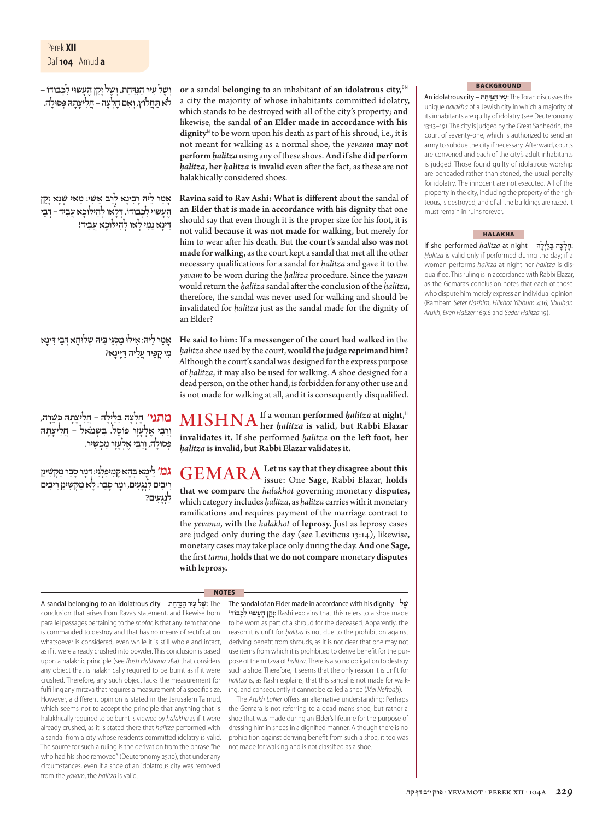Perek **XII** Daf **104** Amud **a**

**ּנַּדַחת, ְו ֶׁשלָזֵקן ֶהָע ׂשּוי ִל ְכבוֹדוֹ – ְו ֶׁשל ִעיר ַהִ לֹא ַּתֲחלוֹץ, ְו ִאם ָח ְלָצה – ֲח ִל ָיצָת ּה ְּפ ּסוָלה.** 

**ָאַמר ֵל ּיהָרִב ָינא ְלַרב ַאׁ ִשי: ַמאי ׁ ְשָנא ָזֵקן ֶהָע ׂשּוי ִל ְכבוֹדוֹ, ְ ּדָלאו ְל ִה ּילּוָכאֲע ִביד – ְ ּדֵבי ִ ּד ָינא ַנִמי ָלאו ְל ִה ּילּוָכאֲע ִביד!** 

**ָאַמרֵל ּיה: ִא ּילּו ַמ ְסֵּגי ֵּב ּיה ׁ ְש ּלוָחא ְ ּדֵבי ִ ּד ָינא ִמי ָקֵפיד ֲעֵל ּיהַּדָיּ ָינא?**

**ּכֵׁשָרה, ּלְיָלה – ֲח ִל ָיצָת ּה ְ מתני׳ ָח ְלָצה ַּבַ ְוַרִּבי ֶא ְלָעָזר ּפ ֵוֹסל. ִּב ְׂשמֹאל – ֲח ִל ָיצָת ּה ְּפ ּסוָלה, ְוַרִּבי ֶאְלָעָזר ַמ ְכׁ ִשיר.**

**גמ׳ ֵל ָימא ְּבָהאָק ִמ ַּיפְלִגי: ְ ּדָמרָסַבר ַמ ְּקׁ ִש ַינן ִר ִיבים ִלְנָגִעים, ּוָמר ָסַבר: ָלא ַמ ְּקׁ ִש ַינן ִר ִיבים ִלְנָגִעים?**  **or** a sandal **belonging to** an inhabitant of **an idolatrous city**,<sup>BN</sup> a city the majority of whose inhabitants committed idolatry, which stands to be destroyed with all of the city's property; **and**  likewise, the sandal **of an Elder made in accordance with his**  dignity<sup>N</sup> to be worn upon his death as part of his shroud, i.e., it is not meant for walking as a normal shoe, the *yevama* **may not perform** *ĥalitza* using any of these shoes. **And if she did perform**  *halitza*, her *halitza* is invalid even after the fact, as these are not halakhically considered shoes.

Ravina said to Rav Ashi: What is different about the sandal of **an Elder that is made in accordance with his dignity** that one should say that even though it is the proper size for his foot, it is not valid **because it was not made for walking,** but merely for him to wear after his death. But the court's sandal also was not **made for walking,** as the court kept a sandal that met all the other necessary qualifications for a sandal for *ĥalitza* and gave it to the *yavam* to be worn during the *ĥalitza* procedure. Since the *yavam* would return the *ḥalitza* sandal after the conclusion of the *ḥalitza*, therefore, the sandal was never used for walking and should be invalidated for *ĥalitza* just as the sandal made for the dignity of an Elder?

**He said to him: If a messenger of the court had walked in** the *ĥalitza* shoe used by the court, **would the judge reprimand him?**  Although the court's sandal was designed for the express purpose of *ĥalitza*, it may also be used for walking. A shoe designed for a dead person, on the other hand, is forbidden for any other use and is not made for walking at all, and it is consequently disqualified.

 $\bf{MISHNA}$  If a woman performed *ḥalitza* at night,<sup>H</sup><br> $\bf{MISHA}$  her *ḥalitza* is valid, but Rabbi Elazar **invalidates it.** If she performed *ĥalitza* **on** the **left foot, her**  *ĥalitza* **is invalid, but Rabbi Elazar validates it.**

 $\sqrt{GEMARA}^{\text{Let us say that they disagree about this}}$  issue: One Sage, Rabbi Elazar, holds **that we compare** the *halakhot* governing monetary **disputes,**  which category includes *ĥalitza*, as *ĥalitza* carries with it monetary ramifications and requires payment of the marriage contract to the *yevama*, **with** the *halakhot* of **leprosy.** Just as leprosy cases are judged only during the day (see Leviticus  $13:14$ ), likewise, monetary cases may take place only during the day. **And** one **Sage,**  the first *tanna*, holds that we do not compare monetary disputes **with leprosy.**

#### **NOTES**

 A sandal belonging to an idolatrous city – **חתַדַּנּ** The : **ֶׁשל ִעיר ַהִ** conclusion that arises from Rava's statement, and likewise from parallel passages pertaining to the *shofar*, is that any item that one is commanded to destroy and that has no means of rectification whatsoever is considered, even while it is still whole and intact, as if it were already crushed into powder. This conclusion is based upon a halakhic principle (see *Rosh HaShana* 28a) that considers any object that is halakhically required to be burnt as if it were crushed. Therefore, any such object lacks the measurement for fulfilling any mitzva that requires a measurement of a specific size. However, a different opinion is stated in the Jerusalem Talmud, which seems not to accept the principle that anything that is halakhically required to be burnt is viewed by *halakha* as if it were already crushed, as it is stated there that *ĥalitza* performed with a sandal from a city whose residents committed idolatry is valid. The source for such a ruling is the derivation from the phrase "he who had his shoe removed" (Deuteronomy 25:10), that under any circumstances, even if a shoe of an idolatrous city was removed from the *yavam*, the *ĥalitza* is valid.

 The sandal of an Elder made in accordance with his dignity – **שלֶׁ כבוֹדוְֹ לִ ויּשׂ עָהֶ קןֵזָ**: Rashi explains that this refers to a shoe made to be worn as part of a shroud for the deceased. Apparently, the reason it is unfit for *ĥalitza* is not due to the prohibition against deriving benefit from shrouds, as it is not clear that one may not use items from which it is prohibited to derive benefit for the purpose of the mitzva of *ĥalitza*. There is also no obligation to destroy such a shoe. Therefore, it seems that the only reason it is unfit for *ĥalitza* is, as Rashi explains, that this sandal is not made for walking, and consequently it cannot be called a shoe (*Mei Neftoaĥ*).

The Arukh LaNer offers an alternative understanding: Perhaps the Gemara is not referring to a dead man's shoe, but rather a shoe that was made during an Elder's lifetime for the purpose of dressing him in shoes in a dignified manner. Although there is no prohibition against deriving benefit from such a shoe, it too was not made for walking and is not classified as a shoe.

**BACKGROUND**

**ּנַּדַחת** – city idolatrous An **ִהַעירִ** : The Torah discusses the unique *halakha* of a Jewish city in which a majority of its inhabitants are guilty of idolatry (see Deuteronomy 13:13–19). The city is judged by the Great Sanhedrin, the court of seventy-one, which is authorized to send an army to subdue the city if necessary. Afterward, courts are convened and each of the city's adult inhabitants is judged. Those found guilty of idolatrous worship are beheaded rather than stoned, the usual penalty for idolatry. The innocent are not executed. All of the property in the city, including the property of the righteous, is destroyed, and of all the buildings are razed. It must remain in ruins forever.

#### **HALAKHA**

**If she performed** *ḥalitza* **at night – יְחַלְצָה בַּלַּיְלֵה** *Ĥalitza* is valid only if performed during the day; if a woman performs *ĥalitza* at night her *ĥalitza* is disqualified. This ruling is in accordance with Rabbi Elazar, as the Gemara's conclusion notes that each of those who dispute him merely express an individual opinion (Rambam *Sefer Nashim*, *Hilkhot Yibbum* 4:16; *Shulĥan Arukh*, *Even HaEzer* 169:6 and *Seder Ĥalitza* 19).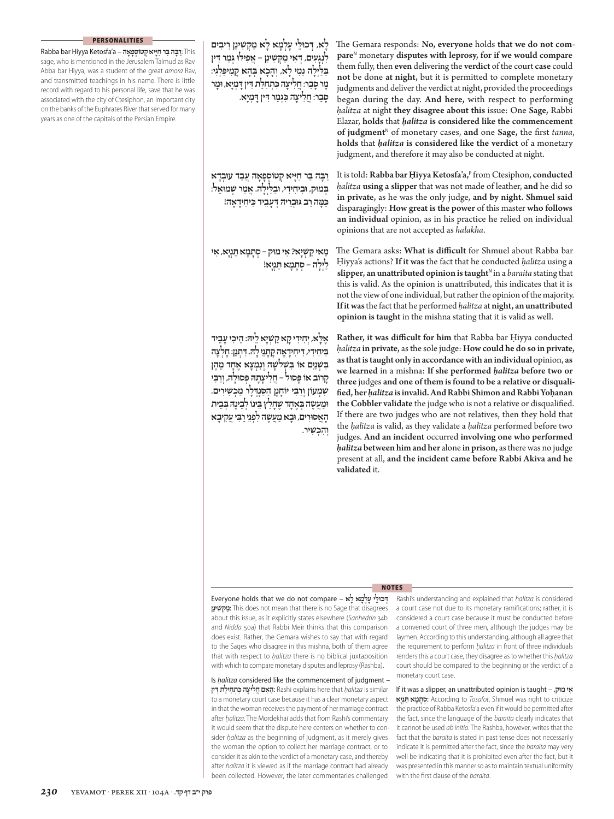# **PERSONALITIES**

 This **ַ**:**רָּבה ַּבר ִחָיּיא ְק ְטוֹסָפָאה** – a'Ketosfa Ĥiyya bar Rabba sage, who is mentioned in the Jerusalem Talmud as Rav Abba bar Ĥiyya, was a student of the great *amora* Rav, and transmitted teachings in his name. There is little record with regard to his personal life, save that he was associated with the city of Ctesiphon, an important city on the banks of the Euphrates River that served for many years as one of the capitals of the Persian Empire.

**ָלא, ְ ּד ּכוֵּלי ָעְלָמא ָלא ַמ ְּק ׁ ִש ַינן ִר ִיבים ִלְנָגִעים, ְ ּד ִאי ַמ ְּקׁ ִש ַינן – ֲא ִפ ּילּו ְּגַמר ִ ּדין ַּבַּלְיָלה ַנִמי ָלא, ְוָהָכא ְּבָהא ָק ִמ ַּיפ ְלִגי: ּכ ְת ִחַּלת ִ ּדיןָּד ְמָיא, ּוָמר ָמר ָסַבר: ֲחִל ָיצה ִ ּכְגַמר ִ ּדיןָּד ְמָיא. ָסַבר: ֲח ִל ָיצה ִ**

**ַרָּבה ַּבר ִחָיּיא ְק ְטוֹסָפָאה ֲעַבד ּעוְבָדא ְּב ּמוק, ּוִב ִיח ִידי, ּוַבַּלְיָלה. ֲאַמר ׁ ְש ּמוֵאל: ּכ ִיח ָידָאה! ּכ ָּמהַרב ּגּוְבֵר ּיה ְ ּדָעֵביד ִ ַ**

**ַמאי ַקׁ ְשָיא? ִאי ּמוק – ְסָתָמא ַּתְנָיא, ִאי ַלְיָלה – ְסָתָמא ַּתְנָיא!** 

**ֶאָּלא, ְי ִח ִידיָקאַקׁ ְשָיא ֵל ּיה: ֵה ִיכי ָעֵביד ִּב ִיח ִידי, ִ ּד ִיח ָידָאהָקָתֵני ָל ּה. ִ ּד ְתַנן: ָחְלָצה ִּבׁ ְשַנִים אוֹ ִּבׁ ְשלֹ ָׁשה ְוִנְמָצא ֶאָחד ֵמֶהן ָקרוֹב אוֹ ָּפ ּסול – ֲח ִל ָיצָת ּה ְּפ ּסוָלה, ְוַרִּבי ׁ ִשְמעוֹן ְוַרִּבי ָ יוֹחָנן ַה ַּסְנְ ּדָלר ַמ ְכׁ ִש ִירים. ּוַמֲעֶׂשה ְּבֶאָחד ֶׁשָחַלץ ֵּבינוֹ ְלֵב ָינ ּה ְּבֵבית ָהֲא ּסוִרים, ּוָבא ַמֲע ֶׂשה ִל ְפֵניַרִּביֲעִק ָיבא ְו ִה ְכׁ ִשיר.** 

The Gemara responds: No, everyone holds that we do not compare<sup>N</sup> monetary disputes with leprosy, for if we would compare them fully, then **even** delivering the **verdict** of the court **case** could not be done at night, but it is permitted to complete monetary judgments and deliver the verdict at night, provided the proceedings began during the day. **And here,** with respect to performing *ĥalitza* at night **they disagree about this** issue: One **Sage,** Rabbi Elazar, **holds** that *ĥalitza* **is considered like the commencement**  of judgment<sup>N</sup> of monetary cases, and one Sage, the first *tanna*, **holds** that *ĥalitza* **is considered like the verdict** of a monetary judgment, and therefore it may also be conducted at night.

It is told: Rabba bar Hiyya Ketosfa'a,<sup>p</sup> from Ctesiphon, conducted *ĥalitza* **using a slipper** that was not made of leather, **and** he did so **in private,** as he was the only judge, **and by night. Shmuel said**  disparagingly: **How great is the power** of this master **who follows an individual** opinion, as in his practice he relied on individual opinions that are not accepted as *halakha*.

The Gemara asks: What is difficult for Shmuel about Rabba bar Ĥiyya's actions? **If it was** the fact that he conducted *ĥalitza* using **a**   $\mathbf{s}$ lipper, an unattributed opinion is taught<sup>N</sup> in a *baraita* stating that this is valid. As the opinion is unattributed, this indicates that it is not the view of one individual, but rather the opinion of the majority. **If it was** the fact that he performed *ĥalitza* at **night, an unatt ributed opinion is taught** in the mishna stating that it is valid as well.

**Rather, it was diffi cult for him** that Rabba bar Ĥiyya conducted *ĥalitza* **in private,** as the sole judge: **How could he do so in private, as that is taught only in accordance with an individual** opinion, **as we learned** in a mishna: **If she performed** *ĥalitza* **before two or three** judges **and one of them is found to be a relative or disqualifi ed, her** *ĥalitza* **is invalid. And Rabbi Shimon and Rabbi Yoĥanan**  the Cobbler validate the judge who is not a relative or disqualified. If there are two judges who are not relatives, then they hold that the *ĥalitza* is valid, as they validate a *ĥalitza* performed before two judges. **And an incident** occurred **involving one who performed**  *ĥalitza* **between him and her** alone **in prison,** as there was no judge present at all, **and the incident came before Rabbi Akiva and he validated** it.

#### **NOTES**

**ְ ּד ּכוֵּלי ָעְלָמא ָלא** – compare not do we that holds Everyone **ינןַ שִ ׁקְּ מַ**: This does not mean that there is no Sage that disagrees about this issue, as it explicitly states elsewhere (*Sanhedrin* 34b and *Nidda* 50a) that Rabbi Meir thinks that this comparison does exist. Rather, the Gemara wishes to say that with regard to the Sages who disagree in this mishna, both of them agree that with respect to *ĥalitza* there is no biblical juxtaposition with which to compare monetary disputes and leprosy (Rashba).

 Is *ĥalitza* considered like the commencement of judgment – **ּכ ְת ִח ַילת ִ ּדין ִ יצהָ לִחֲ אםִ הַ**: Rashi explains here that *ĥalitza* is similar to a monetary court case because it has a clear monetary aspect in that the woman receives the payment of her marriage contract after *ĥalitza*. The Mordekhai adds that from Rashi's commentary it would seem that the dispute here centers on whether to consider *ĥalitza* as the beginning of judgment, as it merely gives the woman the option to collect her marriage contract, or to consider it as akin to the verdict of a monetary case, and thereby after *ĥalitza* it is viewed as if the marriage contract had already been collected. However, the later commentaries challenged

Rashi's understanding and explained that *ĥalitza* is considered a court case not due to its monetary ramifications; rather, it is considered a court case because it must be conducted before a convened court of three men, although the judges may be laymen. According to this understanding, although all agree that the requirement to perform *ĥalitza* in front of three individuals renders this a court case, they disagree as to whether this *ĥalitza* court should be compared to the beginning or the verdict of a monetary court case.

 If it was a slipper, an unattributed opinion is taught – **,מוקּ איִ יאָנְתַּ מאָתָסְ** : According to *Tosafot*, Shmuel was right to criticize the practice of Rabba Ketosfa'a even if it would be permitted after the fact, since the language of the *baraita* clearly indicates that it cannot be used *ab initio*. The Rashba, however, writes that the fact that the *baraita* is stated in past tense does not necessarily indicate it is permitted after the fact, since the *baraita* may very well be indicating that it is prohibited even after the fact, but it was presented in this manner so as to maintain textual uniformity with the first clause of the *baraita*.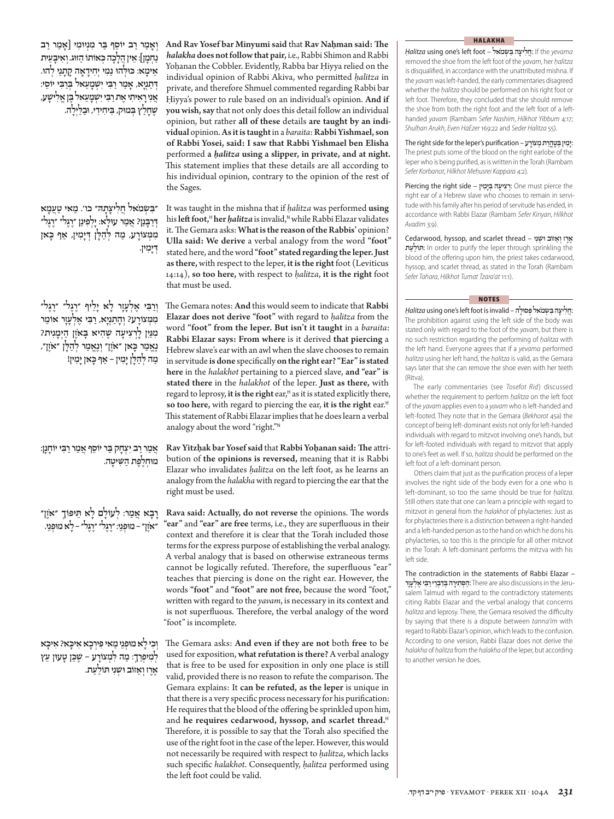**ְוָאַמר ַרב ֵ יוֹסף ַּבר ִמְנ ּיו ִמי [ָאַמר ַרב ּכאוֹתוֹ ַה ּזּוג. ְו ִא ָּיבֵעית ַנ ְחָמן]: ֵאיןֲהָלָכה ְ ֵא ָימא: ּכּוְּל ּהו ַנִמי ְי ִח ָידָאה ָקָתֵני ְל ּהו. ְ ּדַתְנָיא, ָאַמרַרִּבי ִיׁ ְשָמֵעאל ְּבַרִּבי ֵ יוֹסי: ֲאִניָרִא ִיתי ֶאתַרִּבי ִיׁ ְשָמֵעאל ֶּבןֱאִל ָׁ ישע, ֶׁשָחַלץ ְּב ּמוק, ִּב ִיח ִידי, ּוַבַּלְיָלה.**

**ִּ״ב ְׂשמֹאל ֲח ִל ָיצָת ּה״ כו׳. ַמאי ַטֲעָמא ְ ּדַרָּבַנן? ֲאַמר ּעוָּלא: ָי ְל ִפ ַינן ֶ״רֶגל״ ֶ״רֶגל״ ּכאן ּלן ְ ּדָי ִמין, ַאף ָ ִמ ְּמ ָצוֹרע, ַמה ְּלַהָ ְ ּדָי ִמין.** 

**ְוַרִּבי ֶא ְלָעָזר ָלא ָיֵליף ֶ״רֶגל״ ֶ״רֶגל״ ִמ ְּמ ָצוֹרע? ְוָהַתְנָיא, ַרִּבי ֶאְלָעָזר ֵאוֹמר ִמַּנִין ָלְר ִצ ָיעה ֶׁש ִהיא ָּבאֶֹזן ַהְיָמִנית? ּלן ״אֶֹזן״, ּכאן ״אֶֹזן״ ְוֶנֱאַמר ְלַהָ ֶנֱאַמר ָ ּכאןָי ִמין! ַמה ְּלַהָּלןָי ִמין – ַאף ָ**

**ֲאַמרַרב ִי ְצָחק ַּבר ֵ יוֹסף ֲאַמרַרִּבי ָ יוֹחָנן: ּמו ְחֶלֶפת ַהִּׁש ָיטה.** 

**ָרָבא ֲאַמר: ְל ָעוֹלם ָלא ֵּת ּיפ ְוֹך ״אֶֹזן״ ״אֶֹזן״ – ּמו ְפֵני: ֶ״רֶגל״ ֶ״רֶגל״ – ָלא ּמו ְפֵני.** 

**ּיכא ּיכא? ִא ָ ְו ִכי ָלא ּמו ְפֵני ַמאי ִּפ ְירָכא ִא ָ ּכן ָט ּעון ֵעץ ְל ִמ ְיפַרְך: ַמה ִּל ְמ ָצוֹרע – ֶׁשֵ ֶאֶרז ְוֵאזוֹב ּו ׁ ְשִני ּת ַוֹלַעת.** **And Rav Yosef bar Minyumi said** that **Rav Naĥman said: Th e**  *halakha* **does not follow that pair,** i.e., Rabbi Shimon and Rabbi Yoĥanan the Cobbler. Evidently, Rabba bar Ĥiyya relied on the individual opinion of Rabbi Akiva, who permitted *halitza* in private, and therefore Shmuel commented regarding Rabbi bar Ĥiyya's power to rule based on an individual's opinion. **And if you wish, say** that not only does this detail follow an individual opinion, but rather **all of these** details **are taught by an individual** opinion. **As it is taught** in a *baraita*: **Rabbi Yishmael, son of Rabbi Yosei, said: I saw that Rabbi Yishmael ben Elisha**  performed **a** *ĥalitza* **using a slipper, in private, and at night.**  This statement implies that these details are all according to his individual opinion, contrary to the opinion of the rest of the Sages.

It was taught in the mishna that if *ĥalitza* was performed **using**  his **left foot,**<sup>H</sup>**her** *ĥalitza* is invalid,<sup>N</sup>while Rabbi Elazar validates it. The Gemara asks: What is the reason of the Rabbis' opinion? **Ulla said: We derive** a verbal analogy from the word **"foot"**  stated here, and the word **"foot" stated regarding the leper. Just as there,** with respect to the leper, **it is the right** foot (Leviticus 14:14), so too here, with respect to *halitza*, it is the right foot that must be used.

The Gemara notes: And this would seem to indicate that Rabbi **Elazar does not derive "foot"** with regard to *ĥalitza* from the word **"foot" from the leper. But isn't it taught** in a *baraita*: **Rabbi Elazar says: From where** is it derived **that piercing** a Hebrew slave's ear with an awl when the slave chooses to remain in servitude **is done** specifically **on the right ear? "Ear" is stated here** in the *halakhot* pertaining to a pierced slave, **and "ear" is stated there** in the *halakhot* of the leper. **Just as there,** with regard to leprosy, it is the right ear,<sup>H</sup> as it is stated explicitly there, **so too here,** with regard to piercing the ear, **it is the right** ear.<sup>H</sup> This statement of Rabbi Elazar implies that he does learn a verbal analogy about the word "right."<sup>N</sup>

**Rav Yitzĥak bar Yosef said** that **Rabbi Yoĥanan said: Th e** att ribution of **the opinions is reversed,** meaning that it is Rabbi Elazar who invalidates *ĥalitza* on the left foot, as he learns an analogy from the *halakha*with regard to piercing the ear that the right must be used.

Rava said: Actually, do not reverse the opinions. The words "ear" and "ear" are free terms, i.e., they are superfluous in their context and therefore it is clear that the Torah included those terms for the express purpose of establishing the verbal analogy. A verbal analogy that is based on otherwise extraneous terms cannot be logically refuted. Therefore, the superfluous "ear" teaches that piercing is done on the right ear. However, the words **"foot"** and **"foot" are not free,** because the word "foot," written with regard to the *yavam*, is necessary in its context and is not superfluous. Therefore, the verbal analogy of the word "foot" is incomplete.

The Gemara asks: And even if they are not both free to be used for exposition, **what refutation is there?** A verbal analogy that is free to be used for exposition in only one place is still valid, provided there is no reason to refute the comparison. The Gemara explains: It **can be refuted, as the leper** is unique in that there is a very specific process necessary for his purification: He requires that the blood of the offering be sprinkled upon him, and **he requires cedarwood, hyssop, and scarlet thread.**<sup>H</sup> Therefore, it is possible to say that the Torah also specified the use of the right foot in the case of the leper. However, this would not necessarily be required with respect to *ĥalitza*, which lacks such specific *halakhot*. Consequently, *ĥalitza* performed using the left foot could be valid.

## **HALAKHA**

*Ĥalitza* using one's left foot – **אלֹשמְׂ בִּ יצהָ לִחֲ**: If the *yevama* removed the shoe from the left foot of the *yavam*, her *ĥalitza* is disqualified, in accordance with the unattributed mishna. If the *yavam* was left-handed, the early commentaries disagreed whether the *ĥalitza* should be performed on his right foot or left foot. Therefore, they concluded that she should remove the shoe from both the right foot and the left foot of a lefthanded *yavam* (Rambam *Sefer Nashim*, *Hilkhot Yibbum* 4:17; *Shulĥan Arukh*, *Even HaEzer* 169:22 and *Seder Ĥalitza* 55).

**יִימִין בְּטֶהֵרַת מְצוֹרַע** – The right side for the leper's purification The priest puts some of the blood on the right earlobe of the leper who is being purified, as is written in the Torah (Rambam *Sefer Korbanot*, *Hilkhot Meĥusrei Kappara* 4:2).

 Piercing the right side – **מיןִ יָבְּ יעהָ צִרְ**: One must pierce the right ear of a Hebrew slave who chooses to remain in servitude with his family after his period of servitude has ended, in accordance with Rabbi Elazar (Rambam *Sefer Kinyan*, *Hilkhot Avadim* 3:9).

**Arr וֹאזוֹב וּשׁני** – Cedarwood, hyssop, and scarlet thread **עתַוֹלַ תּ** : In order to purify the leper through sprinkling the blood of the offering upon him, the priest takes cedarwood, hyssop, and scarlet thread, as stated in the Torah (Rambam *Sefer Tahara*, *Hilkhot Tumat Tzara'at* 11:1).

#### J. **NOTES**

**ֲ**:**חִל ָיצה ִּב ְׂשמֹאל ְּפ ּסוָלה** – invalid is foot left s'one using *Ĥalitza* The prohibition against using the left side of the body was stated only with regard to the foot of the *yavam*, but there is no such restriction regarding the performing of *ĥalitza* with the left hand. Everyone agrees that if a *yevama* performed *ĥalitza* using her left hand, the *ĥalitza* is valid, as the Gemara says later that she can remove the shoe even with her teeth (Ritva).

The early commentaries (see *Tosefot Rid*) discussed whether the requirement to perform *ĥalitza* on the left foot of the *yavam* applies even to a *yavam* who is left-handed and left-footed. They note that in the Gemara (*Bekhorot* 45a) the concept of being left-dominant exists not only for left-handed individuals with regard to mitzvot involving one's hands, but for left-footed individuals with regard to mitzvot that apply to one's feet as well. If so, *ĥalitza* should be performed on the left foot of a left-dominant person.

Others claim that just as the purification process of a leper involves the right side of the body even for a one who is left-dominant, so too the same should be true for *ĥalitza*. Still others state that one can learn a principle with regard to mitzvot in general from the *halakhot* of phylacteries: Just as for phylacteries there is a distinction between a right-handed and a left-handed person as to the hand on which he dons his phylacteries, so too this is the principle for all other mitzvot in the Torah: A left-dominant performs the mitzva with his left side.

 The contradiction in the statements of Rabbi Elazar – **זרָעָלְאֶ ביִּרַריֵבְ דִבְּ ירהָתִ סְּ הַ**: There are also discussions in the Jerusalem Talmud with regard to the contradictory statements citing Rabbi Elazar and the verbal analogy that concerns *ĥalitza* and leprosy. There, the Gemara resolved the difficulty by saying that there is a dispute between *tanna'im* with regard to Rabbi Elazar's opinion, which leads to the confusion. According to one version, Rabbi Elazar does not derive the *halakha* of *ĥalitza* from the *halakha* of the leper, but according to another version he does.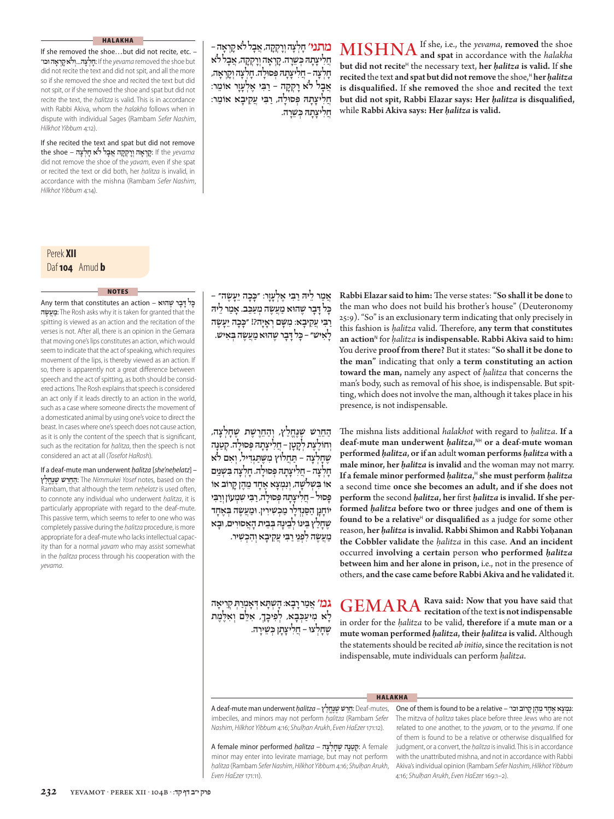# **HALAKHA**

 If she removed the shoe…but did not recite, etc. – but shoe the removed *yevama* the If **ָ**:**חְלָצה...ְולֹאָקְרָאה וכו׳** did not recite the text and did not spit, and all the more so if she removed the shoe and recited the text but did not spit, or if she removed the shoe and spat but did not recite the text, the *ĥalitza* is valid. This is in accordance with Rabbi Akiva, whom the *halakha* follows when in dispute with individual Sages (Rambam *Sefer Nashim*, *Hilkhot Yibbum* 4:12).

 If she recited the text and spat but did not remove *yevama* the If **ָ**:**קְרָאה ְוָרְקָקה ֲאָבל לֹא ָח ְלָצה** – shoe the did not remove the shoe of the *yavam*, even if she spat or recited the text or did both, her *ĥalitza* is invalid, in accordance with the mishna (Rambam *Sefer Nashim*, *Hilkhot Yibbum* 4:14).

# Perek **XII** Daf **104** Amud **b**

## **NOTES**

 Any term that constitutes an action – **הואּ שֶׁ ברָדָּ כלָּ שהֶׂעֲמַ**: The Rosh asks why it is taken for granted that the spitting is viewed as an action and the recitation of the verses is not. After all, there is an opinion in the Gemara that moving one's lips constitutes an action, which would seem to indicate that the act of speaking, which requires movement of the lips, is thereby viewed as an action. If so, there is apparently not a great difference between speech and the act of spitting, as both should be considered actions. The Rosh explains that speech is considered an act only if it leads directly to an action in the world, such as a case where someone directs the movement of a domesticated animal by using one's voice to direct the beast. In cases where one's speech does not cause action, as it is only the content of the speech that is significant such as the recitation for *ĥalitza*, then the speech is not considered an act at all (*Tosefot HaRosh*).

# If a deaf-mute man underwent *ĥalitza* [*she'neĥelatz*] –

 the on based ,notes *Yosef Nimmukei* The **ַ**:**הֵחֵרׁש ֶׁשֶּנֱחַלץ** Rambam, that although the term *neĥelatz* is used often, to connote any individual who underwent *ĥalitza*, it is particularly appropriate with regard to the deaf-mute. This passive term, which seems to refer to one who was completely passive during the *ĥalitza* procedure, is more appropriate for a deaf-mute who lacks intellectual capacity than for a normal *yavam* who may assist somewhat in the *ĥalitza* process through his cooperation with the *yevama*.

**מתני׳ ָחְלָצהְוָרְקָקה, ֲאָבל לֹאָקְרָאה – ּכֵׁשָרה. ָקְרָאה ְוָרְקָקה, ֲאָבל לֹא ֲחִל ָיצָת ּה ְ ָחְלָצה – ֲחִל ָיצָת ּה ְּפ ּסוָלה. ָחְלָצה ְוָקְרָאה, ֲאָבל לֹא ָרְקָקה – ַרִּבי ֶאְלָעָזר ֵאוֹמר: ֲח ִל ָיצָת ּה ְּפ ּסוָלה, ַרִּבי ֲע ִק ָיבא ֵאוֹמר: ּכֵׁשָרה. ֲח ִל ָיצָת ּה ְ**

mishna If she, i.e., the *yevama*, **removed** the shoe **and spat** in accordance with the *halakha* but did not recite<sup>H</sup> the necessary text, her *halitza* is valid. If she **recited** the text **and spat but did not remove** the shoe,<sup>H</sup>**her** *ĥalitza* **is disqualifi ed.** If **she removed** the shoe **and recited** the text **but did not spit, Rabbi Elazar says: Her** *ĥalitza* **is disqualifi ed,**  while **Rabbi Akiva says: Her** *ĥalitza* **is valid.** 

Rabbi Elazar said to him: The verse states: "So shall it be done to the man who does not build his brother's house" (Deuteronomy 25:9). "So" is an exclusionary term indicating that only precisely in this fashion is *halitza* valid. Therefore, any term that constitutes an action<sup>N</sup> for *halitza* is indispensable. Rabbi Akiva said to him: You derive **proof from there?** But it states: **"So shall it be done to the man"** indicating that only **a term constituting an action toward the man,** namely any aspect of *ĥalitza* that concerns the man's body, such as removal of his shoe, is indispensable. But spitting, which does not involve the man, although it takes place in his

The mishna lists additional *halakhot* with regard to *halitza*. If a **deaf-mute man underwent** *ĥalitza***,** N H **or a deaf-mute woman performed** *ĥalitza***, or if an** adult **woman performs** *ĥalitza* **with a male minor, her** *ĥalitza* **is invalid** and the woman may not marry. **If a female minor performed** *ĥalitza***,** <sup>H</sup>**she must perform** *ĥalitza* a second time **once she becomes an adult, and if she does not** 

**ּ״כָכה ֵיָע ֶׂשה״ – ֲאַמר ֵל ּיה ַרִּבי ֶאְלָעָזר: ָ ּכב. ָאַמרֵל ּיה ּכלָּדָבר ֶׁש ּהוא ַמֲע ֶׂשה ְמַעֵ ָ ּ״כָכה ֵיָע ֶׂשה ַרִּבי ֲעִק ָיבא: ִמָּׁשם ְרָאָיה?! ָ ּכלָּדָבר ֶׁש ּהוא ַמֲע ֶׂשה ְּב ִא ׁיש. ָל ִא ׁיש״ – ָ**

**ַהֵחֵרׁש ֶׁשֶּנֱחַלץ, ְוַהֵחֶרֶׁשת ֶׁשָח ְלָצה, ְו ֶחוֹלֶצת ְלָקָטן – ֲח ִל ָיצָת ּה ְּפ ּסוָלה. ְקַטָּנה ֶׁשָח ְלָצה – ַּתֲחלוֹץ ִמֶּׁשַּתְגִ ּדיל, ְו ִאם לֹא ָח ְלָצה – ֲח ִל ָיצָת ּה ְּפ ּסוָלה. ָח ְלָצה ִּבׁ ְשַנִים אוֹ ִּבׁ ְשלֹ ָׁשה, ְוִנְמָצא ֶאָחד ֵמֶהן ָקרוֹב אוֹ ָּפ ּסול – ֲחִל ָיצָת ּה ְּפ ּסוָלה, ַרִּבי ׁ ִשְמעוֹן ְוַרִּבי ָ יוֹחָנן ַה ַּסְנְ ּדָלר ַמ ְכׁ ִש ִירין. ּוַמֲע ֶׂשה ְּבֶאָחד ֶׁשָחַלץ ֵּבינוֹ ְלֵב ָינ ּה ְּבֵבית ָהֲא ּסוִרים, ּוָבא ַמֲע ֶׂשה ִל ְפֵניַרִּביֲעִק ָיבא ְו ִה ְכׁ ִשיר.**

perform the second *halitza*, her first *halitza* is invalid. If she per**formed** *ĥalitza* **before two or three** judges **and one of them is found to be a relative<sup>H</sup> or disqualified** as a judge for some other reason, **her** *ĥalitza* **is invalid. Rabbi Shimon and Rabbi Yoĥanan the Cobbler validate** the *ĥalitza* in this case. **And an incident**  occurred **involving a certain** person **who performed** *ĥalitza* **between him and her alone in prison,** i.e., not in the presence of others, **and the case came before Rabbi Akiva and he validated** it.

**גמ׳ ֲאַמרָרָבא: ָהׁ ְשָּתא ְ ּדָא ְמַרְּת ְקִר ָיאה ּלם ְו ִאֶּלֶמת ּכָבא, ְל ִפ ָיכ ְך, ִאֵ ָלא ִמ ַיע ְ ּכֵׁשָירה. ֶׁשָח ְל ּצו – ֲח ִל ָיצָתן ְ**

 $\sqrt{GEMARA}^{\text{Rava said: Now that you have said that}}$ in order for the *ĥalitza* to be valid, **therefore** if **a mute man or a mute woman performed** *ĥalitza***, their** *ĥalitza* **is valid.** Although the statements should be recited *ab initio*, since the recitation is not indispensable, mute individuals can perform *ĥalitza*.

#### **HALAKHA**

presence, is not indispensable.

 A deaf-mute man underwent *ĥalitza* – **לץַחֱנֶּשֶׁ שׁרֵחֵ**: Deaf-mutes, imbeciles, and minors may not perform *ĥalitza* (Rambam *Sefer Nashim*, *Hilkhot Yibbum* 4:16; *Shulĥan Arukh*, *Even HaEzer* 171:12).

 female A : **ְקַטָּנה ֶׁשָחְלָצה** – *ĥalitza* performed minor female A minor may enter into levirate marriage, but may not perform *ĥalitza* (Rambam *Sefer Nashim*, *Hilkhot Yibbum* 4:16; *Shulĥan Arukh*, *Even HaEzer* 171:11).

**:נְמִצְא אֶחָד מֱהֵן קַרוֹב וכו׳ – One of them is found to be a relative** The mitzva of *ĥalitza* takes place before three Jews who are not related to one another, to the *yavam*, or to the *yevama*. If one of them is found to be a relative or otherwise disqualified for judgment, or a convert, the *ĥalitza* is invalid. This is in accordance with the unattributed mishna, and not in accordance with Rabbi Akiva's individual opinion (Rambam *Sefer Nashim*, *Hilkhot Yibbum* 4:16; *Shulĥan Arukh*, *Even HaEzer* 169:1–2).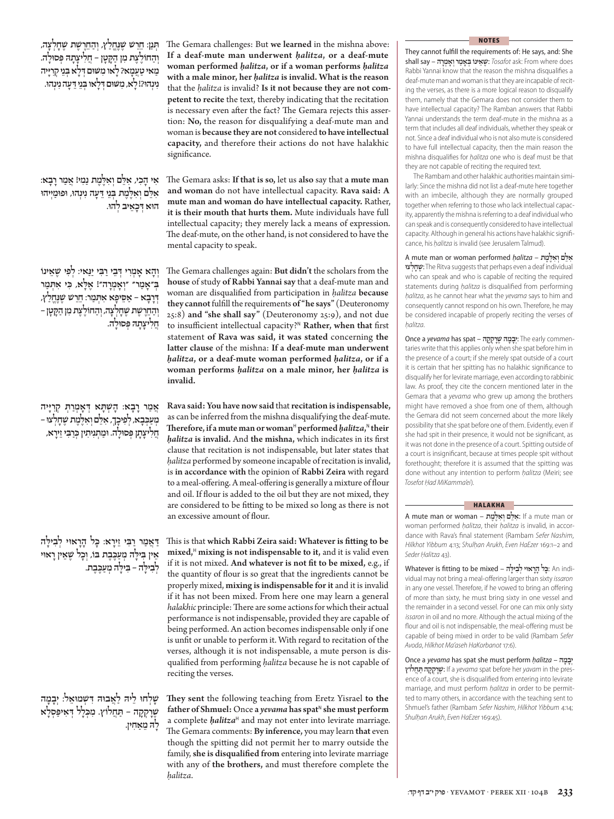| תְּנַן: חֵרֵשׁ שֶׁנֶחֱלַץ, וְהַחֵרֶשֶׁת שֶׁחָלְצָה,<br>וְהַחוֹלֶצֶת מִן הַקָּטָן – חֲלִיצָתָהּ פְּסוּלָה.<br>מַאי טַעֲמָא? לָאו מִשּׁוּם דְּלָא בְּנֵי קְרִיְיה<br>נִינְהוּ?! לַא, מִשּׁוּם דְּלַאו בְּנֵי דֵּעֲה נִינְהוּ.                                                    | The Gemara challenges: But we learned in the mishna above:<br>If a deaf-mute man underwent halitza, or a deaf-mute<br>woman performed halitza, or if a woman performs halitza<br>with a male minor, her halitza is invalid. What is the reason<br>that the <i>halitza</i> is invalid? Is it not because they are not com-<br>petent to recite the text, thereby indicating that the recitation<br>is necessary even after the fact? The Gemara rejects this asser-<br>tion: No, the reason for disqualifying a deaf-mute man and<br>woman is because they are not considered to have intellectual<br>capacity, and therefore their actions do not have halakhic<br>significance.                                                                                                                                                                                                    |
|--------------------------------------------------------------------------------------------------------------------------------------------------------------------------------------------------------------------------------------------------------------------------------|-------------------------------------------------------------------------------------------------------------------------------------------------------------------------------------------------------------------------------------------------------------------------------------------------------------------------------------------------------------------------------------------------------------------------------------------------------------------------------------------------------------------------------------------------------------------------------------------------------------------------------------------------------------------------------------------------------------------------------------------------------------------------------------------------------------------------------------------------------------------------------------|
| אִי הָכִי, אִלֵם וְאִלֶטֶת נַמִי! אֲמַר רָבָא:<br>אִלֵם וְאִלֶּמֶת בְּנֵי דֵּעָה נִינְהוּ, וּפוּמַיְיהוּ<br>הוא דְכָאֵיב לְהוּ.                                                                                                                                                | The Gemara asks: If that is so, let us also say that a mute man<br>and woman do not have intellectual capacity. Rava said: A<br>mute man and woman do have intellectual capacity. Rather,<br>it is their mouth that hurts them. Mute individuals have full<br>intellectual capacity; they merely lack a means of expression.<br>The deaf-mute, on the other hand, is not considered to have the<br>mental capacity to speak.                                                                                                                                                                                                                                                                                                                                                                                                                                                        |
| וְהָא אָמְרִי דְּבֵי וַבִּי יַנַּאי: לְפִי שֶׁאֵינוֹ<br>בִּ״אָמַר״ ״וְאָמְרָה״! אֶלָּא, כִּי אִתְמַר<br>דְּרָבָא – אַפִּיפָא אִתְּמַר: חֵרֵשׁ שֶׁנֶחֱלַץ,<br>וְהַחֵרֶשֶׁת שֶׁחָלְצָה, וְהַחוֹלֶצֶת מְן הַקָּטָן –<br>וְהַחֵרֶשֶׁת שֶׁחָלְצָה, וְהַחוֹלֶצֶת מְן הַקָּטָן –<br>א | The Gemara challenges again: But didn't the scholars from the<br>house of study of Rabbi Yannai say that a deaf-mute man and<br>woman are disqualified from participation in halitza because<br>they cannot fulfill the requirements of "he says" (Deuteronomy<br>25:8) and "she shall say" (Deuteronomy 25:9), and not due<br>to insufficient intellectual capacity? <sup>N</sup> Rather, when that first<br>statement of Rava was said, it was stated concerning the<br>latter clause of the mishna: If a deaf-mute man underwent<br>halitza, or a deaf-mute woman performed halitza, or if a<br>woman performs halitza on a male minor, her halitza is<br>invalid.                                                                                                                                                                                                               |
| אֲמַר רָבָא: הָשְׁתָּא דְּאָמְרַתְּ קְרָיָיה<br>מִעַבְבָא, לְפִיכָךָ, אִלֵם וְאִלֶטֶת שֶׁחָלְצוּ –<br>חֲלִיצָתָן פִּסוּלָה. וּמַתְנִיתִין כְּרַבִּי זֵירָא,                                                                                                                    | Rava said: You have now said that recitation is indispensable,<br>as can be inferred from the mishna disqualifying the deaf-mute.<br>Therefore, if a mute man or woman <sup>H</sup> performed <i>halitza</i> , <sup><i>N</i></sup> their<br>halitza is invalid. And the mishna, which indicates in its first<br>clause that recitation is not indispensable, but later states that<br>halitza performed by someone incapable of recitation is invalid,<br>is in accordance with the opinion of Rabbi Zeira with regard<br>to a meal-offering. A meal-offering is generally a mixture of flour<br>and oil. If flour is added to the oil but they are not mixed, they<br>are considered to be fitting to be mixed so long as there is not<br>an excessive amount of flour.                                                                                                            |
| דַּאֲמַר רַבִּי זֵירָא: כָּל הָרָאוּי לְבִילָה<br>אֵין בִּילָה מְעַבֶּבֶת בּוֹ, וְכָל שֶׁאֵין רָאוּי<br>לְבִילָה – בִּילַה מְעַבֵּבֵת.                                                                                                                                         | This is that which Rabbi Zeira said: Whatever is fitting to be<br>$mixed$ , <sup><math>H</math></sup> mixing is not indispensable to it, and it is valid even<br>if it is not mixed. And whatever is not fit to be mixed, e.g., if<br>the quantity of flour is so great that the ingredients cannot be<br>properly mixed, mixing is indispensable for it and it is invalid<br>if it has not been mixed. From here one may learn a general<br>halakhic principle: There are some actions for which their actual<br>performance is not indispensable, provided they are capable of<br>being performed. An action becomes indispensable only if one<br>is unfit or unable to perform it. With regard to recitation of the<br>verses, although it is not indispensable, a mute person is dis-<br>qualified from performing halitza because he is not capable of<br>reciting the verses. |
| שָלְחוּ לֵיהּ לַאֲבוּהּ דִשְׁמוּאֵל: יְבָמָה<br>שָׁרְקְקָה – תַּחֲלוֹץ. מִכְלָל דְּאִיפַּסְלָא<br>לַה מֵאַחִין.                                                                                                                                                                | They sent the following teaching from Eretz Yisrael to the<br>father of Shmuel: Once a yevama has spat <sup>N</sup> she must perform<br>a complete <i>halitza</i> <sup>H</sup> and may not enter into levirate marriage.<br>The Gemara comments: By inference, you may learn that even<br>though the spitting did not permit her to marry outside the<br>family, she is disqualified from entering into levirate marriage<br>with any of the brothers, and must therefore complete the                                                                                                                                                                                                                                                                                                                                                                                              |

*ĥalitza*.

**NOTES**

 They cannot fulfill the requirements of: He says, and: She does where From :ask *Tosafot* : **ֶׁשֵאינוֹ ְּבָאַמרְוָא ְמָרה** – say shall Rabbi Yannai know that the reason the mishna disqualifies a deaf-mute man and woman is that they are incapable of reciting the verses, as there is a more logical reason to disqualify them, namely that the Gemara does not consider them to have intellectual capacity? The Ramban answers that Rabbi Yannai understands the term deaf-mute in the mishna as a term that includes all deaf individuals, whether they speak or not. Since a deaf individual who is not also mute is considered to have full intellectual capacity, then the main reason the mishna disqualifies for *ĥalitza* one who is deaf must be that they are not capable of reciting the required text.

The Rambam and other halakhic authorities maintain similarly: Since the mishna did not list a deaf-mute here together with an imbecile, although they are normally grouped together when referring to those who lack intellectual capacity, apparently the mishna is referring to a deaf individual who can speak and is consequently considered to have intellectual capacity. Although in general his actions have halakhic significance, his *ĥalitza* is invalid (see Jerusalem Talmud).

 A mute man or woman performed *ĥalitza* – **מתֶלֶּאִ וְ לםֵּאִ צוּ לְחָשֶׁ** : The Ritva suggests that perhaps even a deaf individual who can speak and who is capable of reciting the required statements during *ĥalitza* is disqualified from performing *ĥalitza*, as he cannot hear what the *yevama* says to him and consequently cannot respond on his own. Therefore, he may be considered incapable of properly reciting the verses of *ĥalitza*.

 Once a *yevama* has spat – **קהָקְרָשֶׁ מהָבָיְ**: The early commentaries write that this applies only when she spat before him in the presence of a court; if she merely spat outside of a court it is certain that her spitting has no halakhic significance to disqualify her for levirate marriage, even according to rabbinic law. As proof, they cite the concern mentioned later in the Gemara that a *yevama* who grew up among the brothers might have removed a shoe from one of them, although the Gemara did not seem concerned about the more likely possibility that she spat before one of them. Evidently, even if she had spit in their presence, it would not be significant, as it was not done in the presence of a court. Spitting outside of a court is insignificant, because at times people spit without forethought; therefore it is assumed that the spitting was done without any intention to perform *ĥalitza* (Meiri; see *Tosefot Ĥad MiKamma'ei*).

**HALAKHA**

 A mute man or woman – **מתֶלֶּאִ וְ לםֵּאִ** : If a mute man or woman performed *ĥalitza*, their *ĥalitza* is invalid, in accordance with Rava's final statement (Rambam *Sefer Nashim*, *Hilkhot Yibbum* 4:13; *Shulĥan Arukh*, *Even HaEzer* 169:1–2 and *Seder Ĥalitza* 43).

 Whatever is fitting to be mixed – **ילהָּ בִ לְ אויּ רָהָ כלָּ**: An individual may not bring a meal-offering larger than sixty *issaron*  in any one vessel. Therefore, if he vowed to bring an offering of more than sixty, he must bring sixty in one vessel and the remainder in a second vessel. For one can mix only sixty *issaron* in oil and no more. Although the actual mixing of the flour and oil is not indispensable, the meal-offering must be capable of being mixed in order to be valid (Rambam *Sefer Avoda*, *Hilkhot Ma'aseh HaKorbanot* 17:6).

 Once a *yevama* has spat she must perform *ĥalitza* – **מהָבָיְ חלוֹץֲתַּ קהָקְרָשֶׁ** : If a *yevama* spat before her *yavam* in the presence of a court, she is disqualified from entering into levirate marriage, and must perform *ĥalitza* in order to be permitted to marry others, in accordance with the teaching sent to Shmuel's father (Rambam *Sefer Nashim*, *Hilkhot Yibbum* 4:14; *Shulĥan Arukh*, *Even HaEzer* 169:45).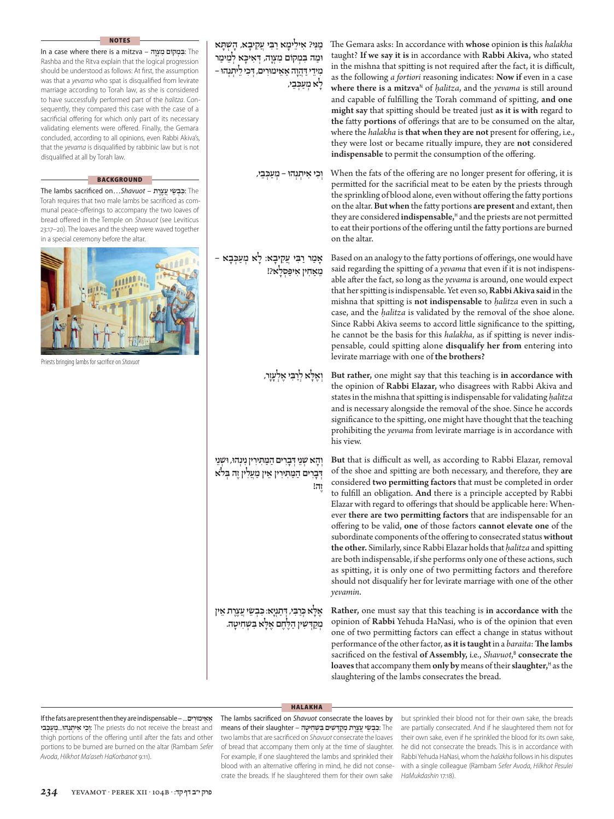# **NOTES**

 In a case where there is a mitzva – **והָצְ מִ מקוֹםְ בִּ** : The Rashba and the Ritva explain that the logical progression should be understood as follows: At first, the assumption was that a *yevama* who spat is disqualified from levirate marriage according to Torah law, as she is considered to have successfully performed part of the *ĥalitza*. Consequently, they compared this case with the case of a sacrificial offering for which only part of its necessary validating elements were offered. Finally, the Gemara concluded, according to all opinions, even Rabbi Akiva's, that the *yevama* is disqualified by rabbinic law but is not disqualified at all by Torah law.

#### **BACKGROUND**

**ּכ ְב ֵׂשי ֲעֶצֶרת** – *Shavuot*…on sacrificed lambs The **ִ** : The Torah requires that two male lambs be sacrificed as communal peace-offerings to accompany the two loaves of bread offered in the Temple on *Shavuot* (see Leviticus 23:17–20). The loaves and the sheep were waved together in a special ceremony before the altar.



Priests bringing lambs for sacrifice on *Shavuot* 

**ּני? ִא ֵיל ָימאַרִּבי ֲע ִק ָיבא, ָהׁ ְשָּתא ַמִ ּיכא ְלֵמ ַימר ּוַמה ִּב ְמקוֹם ִמ ְצָוה, ְ ּד ִא ָ ִמֵידיַּדֲהָוה ַאֵא ּ ימוִרים, ְ ּד ִכי ֵל ְיתְנ ּהו – ּכֵבי, ָלא ְמַע ְ**

**ְוָהא ׁ ְשֵני ְ ּדָבִרים ַה ַּמ ִּת ִירין ִנ ְינ ּהו, ּו ׁ ְשֵני**

**ּכ ְב ֵׂשיֲעֶצֶרת ֵאין**

**ּלא ִּבׁ ְש ִח ָיטה.** 

**ְ ּדָבִרים ַה ַּמ ִּת ִירין ֵאין ַמֲעִליןֶזה ְּבלֹא**

**ֶזה!**

Th e Gemara asks: In accordance with **whose** opinion **is** this *halakha* taught? **If we say it is** in accordance with **Rabbi Akiva,** who stated in the mishna that spitting is not required after the fact, it is difficult, as the following *a fortiori* reasoning indicates: **Now if** even in a case where there is a mitzva<sup>N</sup> of *halitza*, and the *yevama* is still around and capable of fulfilling the Torah command of spitting, and one might say that spitting should be treated just as it is with regard to the fatty portions of offerings that are to be consumed on the altar, where the *halakha* is **that when they are not** present for offering, i.e., they were lost or became ritually impure, they are **not** considered indispensable to permit the consumption of the offering.

When the fats of the offering are no longer present for offering, it is permitted for the sacrificial meat to be eaten by the priests through the sprinkling of blood alone, even without offering the fatty portions on the altar. **But when** the fatty portions **are present** and extant, then they are considered *indispensable*,<sup>H</sup> and the priests are not permitted to eat their portions of the offering until the fatty portions are burned on the altar. **ּכֵבי, ְו ִכי ִא ְיתְנ ּהו – ְמַע ְ**

Based on an analogy to the fatty portions of offerings, one would have said regarding the spitting of a *yevama* that even if it is not indispensable after the fact, so long as the *yevama* is around, one would expect that her spitt ing is indispensable. Yet even so, **Rabbi Akiva said** in the mishna that spitting is not indispensable to *halitza* even in such a case, and the *ĥalitza* is validated by the removal of the shoe alone. Since Rabbi Akiva seems to accord little significance to the spitting, he cannot be the basis for this *halakha*, as if spitting is never indispensable, could spitting alone disqualify her from entering into levirate marriage with one of **the brothers? ּכָבא – ָאַמר ַרִּבי ֲע ִק ָיבא: ָלא ְמַע ְ ֵמַא ִחין ִא ַּיפ ְסָלא?!** 

> **But rather,** one might say that this teaching is **in accordance with**  the opinion of **Rabbi Elazar,** who disagrees with Rabbi Akiva and states in the mishna that spitt ing is indispensable for validating *ĥalitza* and is necessary alongside the removal of the shoe. Since he accords significance to the spitting, one might have thought that the teaching prohibiting the *yevama* from levirate marriage is in accordance with his view. **ְוֶאָּלא ְלַרִּבי ֶאְלָעָזר,**

> > But that is difficult as well, as according to Rabbi Elazar, removal of the shoe and spitting are both necessary, and therefore, they are considered **two permitt ing factors** that must be completed in order to fulfill an obligation. And there is a principle accepted by Rabbi Elazar with regard to offerings that should be applicable here: Whenever there are two permitting factors that are indispensable for an off ering to be valid, **one** of those factors **cannot elevate one** of the subordinate components of the offering to consecrated status without the other. Similarly, since Rabbi Elazar holds that *halitza* and spitting are both indispensable, if she performs only one of these actions, such as spitting, it is only one of two permitting factors and therefore should not disqualify her for levirate marriage with one of the other *yevamin*.

> > **Rather,** one must say that this teaching is **in accordance with** the opinion of **Rabbi** Yehuda HaNasi, who is of the opinion that even one of two permitting factors can effect a change in status without performance of the other factor, **as it is taught** in a *baraita*: **Th e lambs**  sacrificed on the festival of Assembly, i.e., *Shavuot*,<sup>8</sup> consecrate the loaves that accompany them only by means of their slaughter,<sup>H</sup> as the slaughtering of the lambs consecrates the bread.

## **HALAKHA**

**ֶאָּלא ְ**

**ּכַרִּבי, ְ ּדַתְנָיא: ִ**

**ְמַקְ ּד ׁ ִשין ַהֶּלֶחם ֶאָ**

 If the fats are present then they are indispensable – **…ריםִימו ּ אֵאַ ּכבי** and breast the receive not do priests The **ְ**:**ו ִכי ִא ְיתְנ ּהו... ְמַע ְ** thigh portions of the offering until after the fats and other portions to be burned are burned on the altar (Rambam *Sefer Avoda*, *Hilkhot Ma'aseh HaKorbanot* 9:11).

 The lambs sacrificed on *Shavuot* consecrate the loaves by **ּכ ְב ֵׂשיֲעֶצֶרת ְמַקְ ּד ׁ ִשים ִּבׁ ְש ִח ָיטה** – slaughter their of means **ִ** : The two lambs that are sacrificed on *Shavuot* consecrate the loaves of bread that accompany them only at the time of slaughter. For example, if one slaughtered the lambs and sprinkled their blood with an alternative offering in mind, he did not consecrate the breads. If he slaughtered them for their own sake

but sprinkled their blood not for their own sake, the breads are partially consecrated. And if he slaughtered them not for their own sake, even if he sprinkled the blood for its own sake, he did not consecrate the breads. This is in accordance with Rabbi Yehuda HaNasi, whom the *halakha* follows in his disputes with a single colleague (Rambam *Sefer Avoda*, *Hilkhot Pesulei HaMukdashin* 17:18).